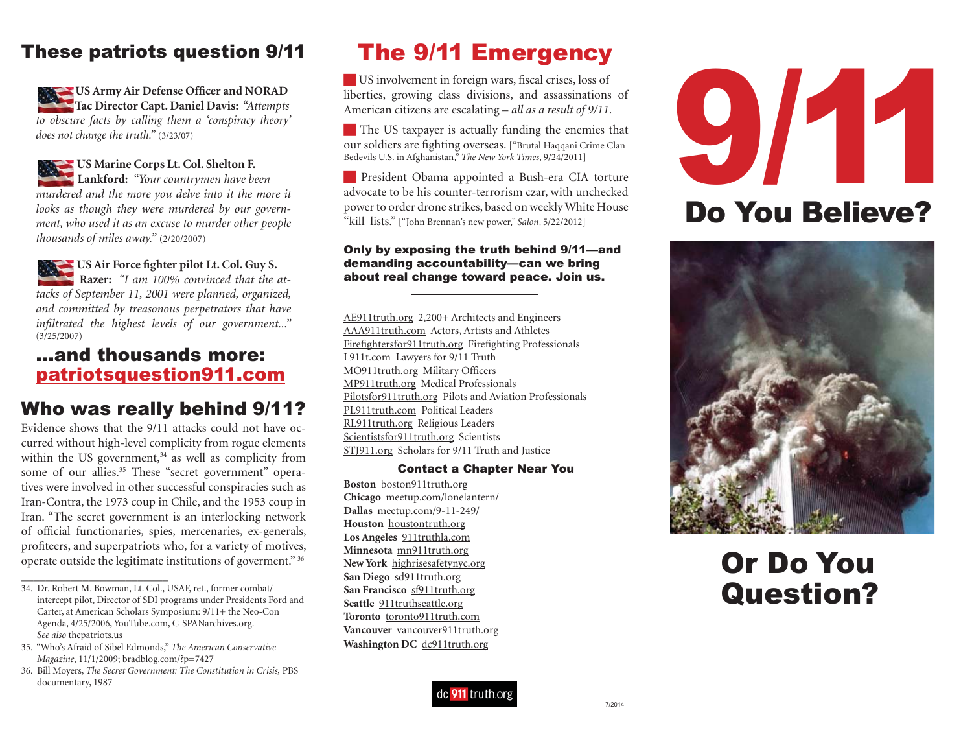## These patriots question 9/11

**US Army Air Defense Officer and NORAD Tac Director Capt. Daniel Davis:** *"Attempts to obscure facts by calling them a 'conspiracy theory' does not change the truth."* (3/23/07)

**US Marine Corps Lt. Col. Shelton F. Lankford:** *"Your countrymen have been murdered and the more you delve into it the more it looks as though they were murdered by our government, who used it as an excuse to murder other people thousands of miles away."* (2/20/2007)

**US Air Force fighter pilot Lt. Col. Guy S. Razer:** "I am 100% convinced that the at*tacks of September 11, 2001 were planned, organized, and committed by treasonous perpetrators that have infiltrated the highest levels of our government..."*  (3/25/2007)

## ...and thousands more:patriotsquestion911.com

## Who was really behind 9/11?

Evidence shows that the 9/11 attacks could not have occurred without high-level complicity from rogue elements within the US government, $34$  as well as complicity from some of our allies.<sup>35</sup> These "secret government" operatives were involved in other successful conspiracies such as Iran-Contra, the 1973 coup in Chile, and the 1953 coup in Iran. "The secret government is an interlocking network of official functionaries, spies, mercenaries, ex-generals, profiteers, and superpatriots who, for a variety of motives, operate outside the legitimate institutions of goverment." 36

# The 9/11 Emergency

 $\blacksquare$  US involvement in foreign wars, fiscal crises, loss of liberties, growing class divisions, and assassinations of American citizens are escalating – *all as a result of 9/11*.

The US taxpayer is actually funding the enemies that our soldiers are fighting overseas. ["Brutal Haqqani Crime Clan Bedevils U.S. in Afghanistan," *The New York Times*, 9/24/2011]

**President Obama appointed a Bush-era CIA torture** advocate to be his counter-terrorism czar, with unchecked power to order drone strikes, based on weekly White House "kill lists." ["John Brennan's new power," *Salon*, 5/22/2012]

#### Only by exposing the truth behind 9/11—and demanding accountability—can we bring about real change toward peace. Join us.

AE911truth.org 2,200+ Architects and Engineers AAA911truth.com Actors, Artists and Athletes Firefightersfor911truth.org Firefighting Professionals L911t.com Lawyers for 9/11 Truth MO911truth.org Military Officers MP911truth.org Medical Professionals Pilotsfor911truth.org Pilots and Aviation Professionals PL911truth.com Political LeadersRL911truth.org Religious Leaders Scientistsfor911truth.org Scientists STJ911.org Scholars for 9/11 Truth and Justice

#### Contact a Chapter Near You

**Boston** boston911truth.org **Chicago** meetup.com/lonelantern/ **Dallas** meetup.com/9-11-249/ **Houston** houstontruth.org **Los Angeles** 911truthla.com **Minnesota** mn911truth.org **New York** highrisesafetynyc.org **San Diego** sd911truth.org **San Francisco** sf911truth.org **Seattle** 911truthseattle.org **Toronto** toronto911truth.com **Vancouver** vancouver911truth.org **Washington DC** dc911truth.org





# Or Do YouQuestion?



<sup>34.</sup> Dr. Robert M. Bowman, Lt. Col., USAF, ret., former combat/ intercept pilot, Director of SDI programs under Presidents Ford and Carter, at American Scholars Symposium: 9/11+ the Neo-Con Agenda, 4/25/2006, YouTube.com, C-SPANarchives.org. *See also* thepatriots.us

<sup>35.</sup> "Who's Afraid of Sibel Edmonds," *The American Conservative Magazine*, 11/1/2009; bradblog.com/?p=7427

<sup>36.</sup> Bill Moyers, *The Secret Government: The Constitution in Crisis,* PBS documentary, 1987